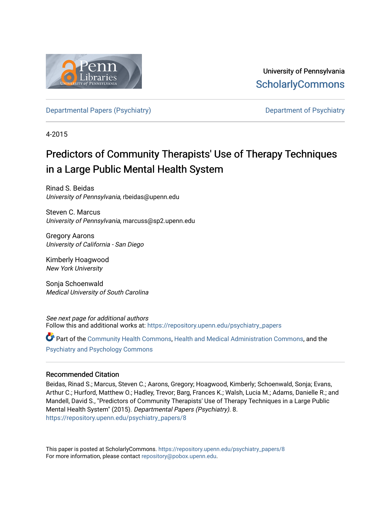

University of Pennsylvania **ScholarlyCommons** 

[Departmental Papers \(Psychiatry\)](https://repository.upenn.edu/psychiatry_papers) [Department of Psychiatry](https://repository.upenn.edu/psychiatry) Department of Psychiatry

4-2015

# Predictors of Community Therapists' Use of Therapy Techniques in a Large Public Mental Health System

Rinad S. Beidas University of Pennsylvania, rbeidas@upenn.edu

Steven C. Marcus University of Pennsylvania, marcuss@sp2.upenn.edu

Gregory Aarons University of California - San Diego

Kimberly Hoagwood New York University

Sonja Schoenwald Medical University of South Carolina

See next page for additional authors Follow this and additional works at: [https://repository.upenn.edu/psychiatry\\_papers](https://repository.upenn.edu/psychiatry_papers?utm_source=repository.upenn.edu%2Fpsychiatry_papers%2F8&utm_medium=PDF&utm_campaign=PDFCoverPages)

Part of the [Community Health Commons,](http://network.bepress.com/hgg/discipline/714?utm_source=repository.upenn.edu%2Fpsychiatry_papers%2F8&utm_medium=PDF&utm_campaign=PDFCoverPages) [Health and Medical Administration Commons](http://network.bepress.com/hgg/discipline/663?utm_source=repository.upenn.edu%2Fpsychiatry_papers%2F8&utm_medium=PDF&utm_campaign=PDFCoverPages), and the [Psychiatry and Psychology Commons](http://network.bepress.com/hgg/discipline/908?utm_source=repository.upenn.edu%2Fpsychiatry_papers%2F8&utm_medium=PDF&utm_campaign=PDFCoverPages)

# Recommended Citation

Beidas, Rinad S.; Marcus, Steven C.; Aarons, Gregory; Hoagwood, Kimberly; Schoenwald, Sonja; Evans, Arthur C.; Hurford, Matthew O.; Hadley, Trevor; Barg, Frances K.; Walsh, Lucia M.; Adams, Danielle R.; and Mandell, David S., "Predictors of Community Therapists' Use of Therapy Techniques in a Large Public Mental Health System" (2015). Departmental Papers (Psychiatry). 8. [https://repository.upenn.edu/psychiatry\\_papers/8](https://repository.upenn.edu/psychiatry_papers/8?utm_source=repository.upenn.edu%2Fpsychiatry_papers%2F8&utm_medium=PDF&utm_campaign=PDFCoverPages) 

This paper is posted at ScholarlyCommons. [https://repository.upenn.edu/psychiatry\\_papers/8](https://repository.upenn.edu/psychiatry_papers/8) For more information, please contact [repository@pobox.upenn.edu.](mailto:repository@pobox.upenn.edu)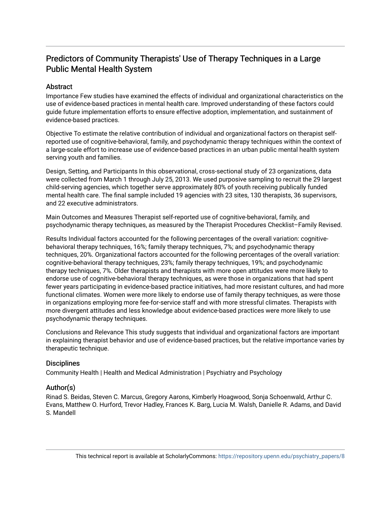# Predictors of Community Therapists' Use of Therapy Techniques in a Large Public Mental Health System

# **Abstract**

Importance Few studies have examined the effects of individual and organizational characteristics on the use of evidence-based practices in mental health care. Improved understanding of these factors could guide future implementation efforts to ensure effective adoption, implementation, and sustainment of evidence-based practices.

Objective To estimate the relative contribution of individual and organizational factors on therapist selfreported use of cognitive-behavioral, family, and psychodynamic therapy techniques within the context of a large-scale effort to increase use of evidence-based practices in an urban public mental health system serving youth and families.

Design, Setting, and Participants In this observational, cross-sectional study of 23 organizations, data were collected from March 1 through July 25, 2013. We used purposive sampling to recruit the 29 largest child-serving agencies, which together serve approximately 80% of youth receiving publically funded mental health care. The final sample included 19 agencies with 23 sites, 130 therapists, 36 supervisors, and 22 executive administrators.

Main Outcomes and Measures Therapist self-reported use of cognitive-behavioral, family, and psychodynamic therapy techniques, as measured by the Therapist Procedures Checklist–Family Revised.

Results Individual factors accounted for the following percentages of the overall variation: cognitivebehavioral therapy techniques, 16%; family therapy techniques, 7%; and psychodynamic therapy techniques, 20%. Organizational factors accounted for the following percentages of the overall variation: cognitive-behavioral therapy techniques, 23%; family therapy techniques, 19%; and psychodynamic therapy techniques, 7%. Older therapists and therapists with more open attitudes were more likely to endorse use of cognitive-behavioral therapy techniques, as were those in organizations that had spent fewer years participating in evidence-based practice initiatives, had more resistant cultures, and had more functional climates. Women were more likely to endorse use of family therapy techniques, as were those in organizations employing more fee-for-service staff and with more stressful climates. Therapists with more divergent attitudes and less knowledge about evidence-based practices were more likely to use psychodynamic therapy techniques.

Conclusions and Relevance This study suggests that individual and organizational factors are important in explaining therapist behavior and use of evidence-based practices, but the relative importance varies by therapeutic technique.

# **Disciplines**

Community Health | Health and Medical Administration | Psychiatry and Psychology

# Author(s)

Rinad S. Beidas, Steven C. Marcus, Gregory Aarons, Kimberly Hoagwood, Sonja Schoenwald, Arthur C. Evans, Matthew O. Hurford, Trevor Hadley, Frances K. Barg, Lucia M. Walsh, Danielle R. Adams, and David S. Mandell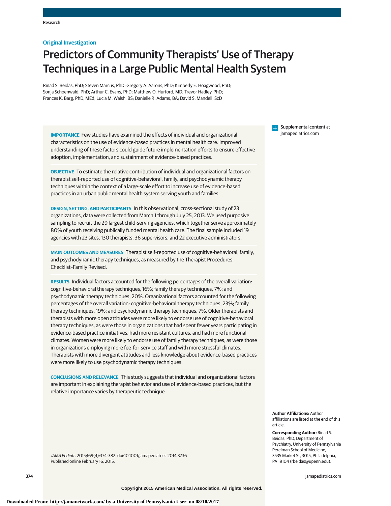### **Original Investigation**

# Predictors of Community Therapists' Use of Therapy Techniques in a Large Public Mental Health System

Rinad S. Beidas, PhD; Steven Marcus, PhD; Gregory A. Aarons, PhD; Kimberly E. Hoagwood, PhD; Sonja Schoenwald, PhD; Arthur C. Evans, PhD; Matthew O. Hurford, MD; Trevor Hadley, PhD; Frances K. Barg, PhD, MEd; Lucia M. Walsh, BS; Danielle R. Adams, BA; David S. Mandell, ScD

**IMPORTANCE** Few studies have examined the effects of individual and organizational characteristics on the use of evidence-based practices in mental health care. Improved understanding of these factors could guide future implementation efforts to ensure effective adoption, implementation, and sustainment of evidence-based practices.

**OBJECTIVE** To estimate the relative contribution of individual and organizational factors on therapist self-reported use of cognitive-behavioral, family, and psychodynamic therapy techniques within the context of a large-scale effort to increase use of evidence-based practices in an urban public mental health system serving youth and families.

**DESIGN, SETTING, AND PARTICIPANTS** In this observational, cross-sectional study of 23 organizations, data were collected from March 1 through July 25, 2013. We used purposive sampling to recruit the 29 largest child-serving agencies, which together serve approximately 80% of youth receiving publically funded mental health care. The final sample included 19 agencies with 23 sites, 130 therapists, 36 supervisors, and 22 executive administrators.

**MAIN OUTCOMES AND MEASURES** Therapist self-reported use of cognitive-behavioral, family, and psychodynamic therapy techniques, as measured by the Therapist Procedures Checklist–Family Revised.

**RESULTS** Individual factors accounted for the following percentages of the overall variation: cognitive-behavioral therapy techniques, 16%; family therapy techniques, 7%; and psychodynamic therapy techniques, 20%. Organizational factors accounted for the following percentages of the overall variation: cognitive-behavioral therapy techniques, 23%; family therapy techniques, 19%; and psychodynamic therapy techniques, 7%. Older therapists and therapists with more open attitudes were more likely to endorse use of cognitive-behavioral therapy techniques, as were those in organizations that had spent fewer years participating in evidence-based practice initiatives, had more resistant cultures, and had more functional climates. Women were more likely to endorse use of family therapy techniques, as were those in organizations employing more fee-for-service staff and with more stressful climates. Therapists with more divergent attitudes and less knowledge about evidence-based practices were more likely to use psychodynamic therapy techniques.

**CONCLUSIONS AND RELEVANCE** This study suggests that individual and organizational factors are important in explaining therapist behavior and use of evidence-based practices, but the relative importance varies by therapeutic technique.

JAMA Pediatr. 2015;169(4):374-382. doi:10.1001/jamapediatrics.2014.3736 Published online February 16, 2015.

**F.** Supplemental content at jamapediatrics.com

**Author Affiliations:** Author affiliations are listed at the end of this article.

**Corresponding Author:** Rinad S. Beidas, PhD, Department of Psychiatry, University of Pennsylvania Perelman School of Medicine, 3535 Market St, 3015, Philadelphia, PA 19104 (rbeidas@upenn.edu).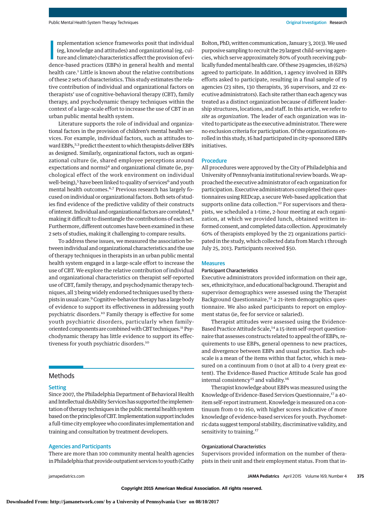mplementation science frameworks posit that individual (eg, knowledge and attitudes) and organizational (eg, culture and climate) characteristics affect the provision of evidence-based practices (EBPs) in general health an mplementation science frameworks posit that individual (eg, knowledge and attitudes) and organizational (eg, culture and climate) characteristics affect the provision of evihealth care.<sup>1</sup> Little is known about the relative contributions of these 2 sets of characteristics. This study estimates the relative contribution of individual and organizational factors on therapists' use of cognitive-behavioral therapy (CBT), family therapy, and psychodynamic therapy techniques within the context of a large-scale effort to increase the use of CBT in an urban public mental health system.

Literature supports the role of individual and organizational factors in the provision of children's mental health services. For example, individual factors, such as attitudes toward EBPs,<sup>2,3</sup> predict the extent to which therapists deliver EBPs as designed. Similarly, organizational factors, such as organizational culture (ie, shared employee perceptions around expectations and norms)<sup>4</sup> and organizational climate (ie, psychological effect of the work environment on individual well-being),<sup>5</sup> have been linked to quality of services<sup>6</sup> and youth mental health outcomes.<sup>6,7</sup> Previous research has largely focused on individual or organizational factors. Both sets of studies find evidence of the predictive validity of their constructs of interest. Individual and organizational factors are correlated,8 making it difficult to disentangle the contributions of each set. Furthermore, different outcomes have been examined in these 2 sets of studies, making it challenging to compare results.

To address these issues, we measured the association between individual and organizational characteristics and the use of therapy techniques in therapists in an urban public mental health system engaged in a large-scale effort to increase the use of CBT. We explore the relative contribution of individual and organizational characteristics on therapist self-reported use of CBT, family therapy, and psychodynamic therapy techniques, all 3 being widely endorsed techniques used by therapists in usual care.9Cognitive-behavior therapy has a large body of evidence to support its effectiveness in addressing youth psychiatric disorders.10 Family therapy is effective for some youth psychiatric disorders, particularly when familyoriented components are combined with CBT techniques.<sup>11</sup> Psychodynamic therapy has little evidence to support its effectiveness for youth psychiatric disorders.10

# Methods

#### **Setting**

Since 2007, the Philadelphia Department of Behavioral Health and Intellectual disAbility Services has supported the implementation of therapy techniques in the public mental health system based on theprinciples ofCBT. Implementation support includes a full-time city employee who coordinates implementation and training and consultation by treatment developers.

#### Agencies and Participants

There are more than 100 community mental health agencies in Philadelphia that provide outpatient services to youth (Cathy

Bolton, PhD, written communication, January 3, 2013). We used purposive sampling to recruit the 29 largest child-serving agencies, which serve approximately 80% of youth receiving publically funded mental health care. Of these 29 agencies, 18 (62%) agreed to participate. In addition, 1 agency involved in EBPs efforts asked to participate, resulting in a final sample of 19 agencies (23 sites, 130 therapists, 36 supervisors, and 22 executive administrators). Each site rather than each agency was treated as a distinct organization because of different leadership structures, locations, and staff. In this article, we refer to *site* as *organization*. The leader of each organization was invited to participate as the executive administrator. There were no exclusion criteria for participation. Of the organizations enrolled in this study, 16 had participated in city-sponsored EBPs

#### Procedure

initiatives.

All procedures were approved by the City of Philadelphia and University of Pennsylvania institutional review boards.We approached the executive administrator of each organization for participation. Executive administrators completed their questionnaires using REDcap, a secure Web-based application that supports online data collection.<sup>12</sup> For supervisors and therapists, we scheduled a 1-time, 2-hour meeting at each organization, at which we provided lunch, obtained written informed consent, and completed data collection. Approximately 60% of therapists employed by the 23 organizations participated in the study, which collected data from March 1 through July 25, 2013. Participants received \$50.

#### Measures

#### Participant Characteristics

Executive administrators provided information on their age, sex, ethnicity/race, and educational background. Therapist and supervisor demographics were assessed using the Therapist Background Questionnaire,<sup>13</sup> a 21-item demographics questionnaire. We also asked participants to report on employment status (ie, fee for service or salaried).

Therapist attitudes were assessed using the Evidence-Based Practice Attitude Scale,<sup>14</sup> a 15-item self-report questionnaire that assesses constructs related to appeal the of EBPs, requirements to use EBPs, general openness to new practices, and divergence between EBPs and usual practice. Each subscale is a mean of the items within that factor, which is measured on a continuum from 0 (not at all) to 4 (very great extent). The Evidence-Based Practice Attitude Scale has good internal consistency<sup>15</sup> and validity.<sup>16</sup>

Therapist knowledge about EBPs was measured using the Knowledge of Evidence-Based Services Questionnaire,<sup>17</sup> a 40item self-report instrument. Knowledge is measured on a continuum from 0 to 160, with higher scores indicative of more knowledge of evidence-based services for youth. Psychometric data suggest temporal stability, discriminative validity, and sensitivity to training.<sup>17</sup>

### Organizational Characteristics

Supervisors provided information on the number of therapists in their unit and their employment status. From that in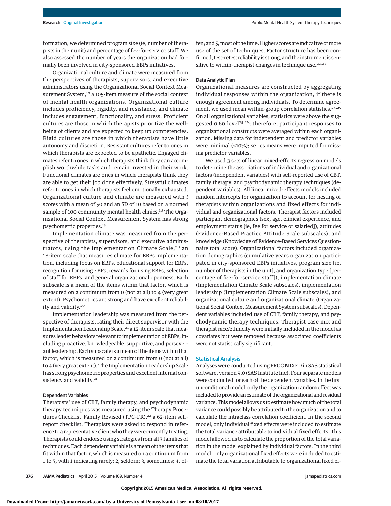formation, we determined program size (ie, number of therapists in their unit) and percentage of fee-for-service staff. We also assessed the number of years the organization had formally been involved in city-sponsored EBPs initiatives.

Organizational culture and climate were measured from the perspectives of therapists, supervisors, and executive administrators using the Organizational Social Context Measurement System,<sup>18</sup> a 105-item measure of the social context of mental health organizations. Organizational culture includes proficiency, rigidity, and resistance, and climate includes engagement, functionality, and stress. Proficient cultures are those in which therapists prioritize the wellbeing of clients and are expected to keep up competencies. Rigid cultures are those in which therapists have little autonomy and discretion. Resistant cultures refer to ones in which therapists are expected to be apathetic. Engaged climates refer to ones in which therapists think they can accomplish worthwhile tasks and remain invested in their work. Functional climates are ones in which therapists think they are able to get their job done effectively. Stressful climates refer to ones in which therapists feel emotionally exhausted. Organizational culture and climate are measured with *t* scores with a mean of 50 and an SD of 10 based on a normed sample of 100 community mental health clinics.<sup>18</sup> The Organizational Social Context Measurement System has strong psychometric properties.<sup>19</sup>

Implementation climate was measured from the perspective of therapists, supervisors, and executive administrators, using the Implementation Climate Scale,<sup>20</sup> an 18-item scale that measures climate for EBPs implementation, including focus on EBPs, educational support for EBPs, recognition for using EBPs, rewards for using EBPs, selection of staff for EBPs, and general organizational openness. Each subscale is a mean of the items within that factor, which is measured on a continuum from 0 (not at all) to 4 (very great extent). Psychometrics are strong and have excellent reliability and validity.20

Implementation leadership was measured from the perspective of therapists, rating their direct supervisor with the Implementation Leadership Scale, $^{21}$  a 12-item scale that measures leader behaviors relevant to implementation of EBPs, including proactive, knowledgeable, supportive, and perseverant leadership. Each subscale is amean of the items within that factor, which is measured on a continuum from 0 (not at all) to 4 (very great extent). The Implementation Leadership Scale has strong psychometric properties and excellent internal consistency and validity.<sup>21</sup>

#### Dependent Variables

Therapists' use of CBT, family therapy, and psychodynamic therapy techniques was measured using the Therapy Procedures Checklist-Family Revised (TPC-FR),<sup>22</sup> a 62-item selfreport checklist. Therapists were asked to respond in reference to a representative client who they were currently treating. Therapists could endorse using strategies from all 3 families of techniques. Each dependent variable is amean of the items that fit within that factor, which is measured on a continuum from 1 to 5, with 1 indicating rarely; 2, seldom; 3, sometimes; 4, often; and 5, most of the time. Higher scores are indicative of more use of the set of techniques. Factor structure has been confirmed, test-retest reliability is strong, and the instrument is sensitive to within-therapist changes in technique use.<sup>22,23</sup>

#### Data Analytic Plan

Organizational measures are constructed by aggregating individual responses within the organization, if there is enough agreement among individuals. To determine agreement, we used mean within-group correlation statistics.<sup>24,25</sup> On all organizational variables, statistics were above the suggested 0.60 level<sup>25,26</sup>; therefore, participant responses to organizational constructs were averaged within each organization. Missing data for independent and predictor variables were minimal (<10%); series means were imputed for missing predictor variables.

We used 3 sets of linear mixed-effects regression models to determine the associations of individual and organizational factors (independent variables) with self-reported use of CBT, family therapy, and psychodynamic therapy techniques (dependent variables). All linear mixed-effects models included random intercepts for organization to account for nesting of therapists within organizations and fixed effects for individual and organizational factors. Therapist factors included participant demographics (sex, age, clinical experience, and employment status [ie, fee for service or salaried]), attitudes (Evidence-Based Practice Attitude Scale subscales), and knowledge (Knowledge of Evidence-Based Services Questionnaire total score). Organizational factors included organization demographics (cumulative years organization participated in city-sponsored EBPs initiatives, program size [ie, number of therapists in the unit], and organization type [percentage of fee-for-service staff]), implementation climate (Implementation Climate Scale subscales), implementation leadership (Implementation Climate Scale subscales), and organizational culture and organizational climate (Organizational Social Context Measurement System subscales). Dependent variables included use of CBT, family therapy, and psychodynamic therapy techniques. Therapist case mix and therapist race/ethnicity were initially included in the model as covariates but were removed because associated coefficients were not statistically significant.

#### Statistical Analysis

Analyses were conducted using PROC MIXED in SAS statistical software, version 9.0 (SAS Institute Inc). Four separate models were conducted for each of the dependent variables. In the first unconditional model, only the organization random effect was included to provide an estimate of the organizational and residual variance.Thismodel allows us to estimate howmuch of the total variance could possibly be attributed to the organization and to calculate the intraclass correlation coefficient. In the second model, only individual fixed effects were included to estimate the total variance attributable to individual fixed effects. This model allowed us to calculate the proportion of the total variation in the model explained by individual factors. In the third model, only organizational fixed effects were included to estimate the total variation attributable to organizational fixed ef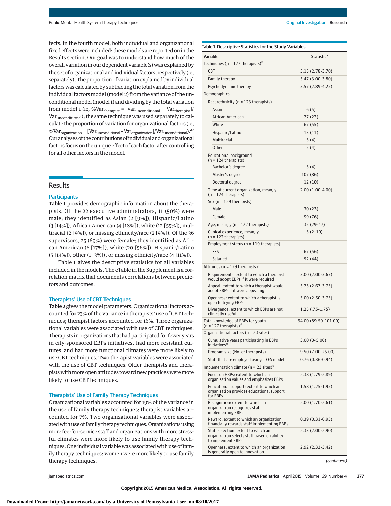fects. In the fourth model, both individual and organizational fixed effects were included; thesemodels are reported on in the Results section. Our goal was to understand how much of the overall variation in our dependent variable(s) was explained by the set of organizational and individual factors, respectively (ie, separately). The proportion of variation explained by individual factorswas calculated by subtracting the total variation from the individual factors model (model 2) from the variance of the unconditional model (model 1) and dividing by the total variation from model 1 (ie, %Var $_{\text{theranist}}$  = [Var $_{\text{unconditional}}$  – Var $_{\text{theranist}}$ ]/ Var<sub>unconditional</sub>); the same technique was used separately to calculate the proportion of variation for organizational factors (ie, %Va $r_{\text{organization}} = [Var_{\text{unconditional}} - Var_{\text{organization}}]/Var_{\text{unconditional}}$ .<sup>27</sup> Our analyses of the contributions of individual and organizational factors focus on the unique effect of each factor after controlling for all other factors in the model.

## Results

#### **Participants**

Table 1 provides demographic information about the therapists. Of the 22 executive administrators, 11 (50%) were male; they identified as Asian (2 [9%]), Hispanic/Latino (3 [14%]), African American (4 [18%]), white (12 [55%]), multiracial (2 [9%]), or missing ethnicity/race (2 [9%]). Of the 36 supervisors, 25 (69%) were female; they identified as African American (6 [17%]), white (20 [56%]), Hispanic/Latino (5 [14%]), other (1 [3%]), or missing ethnicity/race (4 [11%]).

Table 1 gives the descriptive statistics for all variables included in the models. The eTable in the Supplement is a correlation matrix that documents correlations between predictors and outcomes.

#### Therapists' Use of CBT Techniques

Table 2 gives the model parameters. Organizational factors accounted for 23% of the variance in therapists' use of CBT techniques; therapist factors accounted for 16%. Three organizational variables were associated with use of CBT techniques. Therapists in organizations that had participated for fewer years in city-sponsored EBPs initiatives, had more resistant cultures, and had more functional climates were more likely to use CBT techniques. Two therapist variables were associated with the use of CBT techniques. Older therapists and therapists with more open attitudes toward new practices were more likely to use CBT techniques.

# Therapists' Use of Family Therapy Techniques

Organizational variables accounted for 19% of the variance in the use of family therapy techniques; therapist variables accounted for 7%. Two organizational variables were associated with use of family therapy techniques. Organizations using more fee-for-service staff and organizations with more stressful climates were more likely to use family therapy techniques. One individual variable was associated with use of family therapy techniques: women were more likely to use family therapy techniques.

| Table 1. Descriptive Statistics for the Study Variables<br>Variable                                     | <b>Statistic<sup>a</sup></b> |
|---------------------------------------------------------------------------------------------------------|------------------------------|
| Techniques (n = 127 therapists) <sup>b</sup>                                                            |                              |
| <b>CBT</b>                                                                                              | $3.15(2.78-3.70)$            |
| <b>Family therapy</b>                                                                                   | 3.47 (3.00-3.80)             |
| Psychodynamic therapy                                                                                   | $3.57(2.89-4.25)$            |
| Demographics                                                                                            |                              |
|                                                                                                         |                              |
| Race/ethnicity ( $n = 123$ therapists)<br>Asian                                                         |                              |
| African American                                                                                        | 6 (5)<br>27(22)              |
| White                                                                                                   |                              |
|                                                                                                         | 67 (55)                      |
| Hispanic/Latino                                                                                         | 13 (11)                      |
| Multiracial                                                                                             | 5(4)                         |
| Other                                                                                                   | 5(4)                         |
| <b>Educational background</b><br>$(n = 124$ therapists)                                                 |                              |
| Bachelor's degree                                                                                       | 5(4)                         |
| Master's degree                                                                                         | 107 (86)                     |
| Doctoral degree                                                                                         | 12(10)                       |
| Time at current organization, mean, y                                                                   | 2.00 (1.00-4.00)             |
| $(n = 124$ therapists)                                                                                  |                              |
| Sex ( $n = 129$ therapists)                                                                             |                              |
| Male                                                                                                    | 30 (23)                      |
| Female                                                                                                  | 99 (76)                      |
| Age, mean, y (n = 122 therapists)                                                                       | 35 (29-47)                   |
| Clinical experience, mean, y<br>$(n = 122$ therapists)                                                  | $5(2-10)$                    |
| Employment status ( $n = 119$ therapists)                                                               |                              |
| <b>FFS</b>                                                                                              | 67 (56)                      |
| Salaried                                                                                                | 52 (44)                      |
| Attitudes (n = 129 therapists) <sup>c</sup>                                                             |                              |
| Requirements: extent to which a therapist<br>would adopt EBPs if it were required                       | $3.00(2.00-3.67)$            |
| Appeal: extent to which a therapist would<br>adopt EBPs if it were appealing                            | $3.25(2.67-3.75)$            |
| Openness: extent to which a therapist is<br>open to trying EBPs                                         | $3.00(2.50-3.75)$            |
| Divergence: extent to which EBPs are not<br>clinically useful                                           | $1.25$ (.75-1.75)            |
| Total knowledge of EBPs for youth<br>$(n = 127$ therapists) <sup>d</sup>                                | 94.00 (89.50-101.00)         |
| Organizational factors (n = 23 sites)                                                                   |                              |
| Cumulative years participating in EBPs<br>initiatives <sup>e</sup>                                      | $3.00(0-5.00)$               |
| Program size (No. of therapists)                                                                        | 9.50 (7.00-25.00)            |
| Staff that are employed using a FFS model                                                               | $0.76(0.36-0.94)$            |
| Implementation climate ( $n = 23$ sites) <sup>c</sup>                                                   |                              |
| Focus on EBPs: extent to which an<br>organization values and emphasizes EBPs                            | 2.38 (1.79-2.89)             |
| Educational support: extent to which an<br>organization provides educational support<br>for EBPs        | 1.58 (1.25-1.95)             |
| Recognition: extent to which an<br>organization recognizes staff<br>implementing EBPs                   | $2.00(1.70-2.61)$            |
| Reward: extent to which an organization<br>financially rewards staff implementing EBPs                  | $0.39(0.31-0.95)$            |
| Staff selection: extent to which an<br>organization selects staff based on ability<br>to implement EBPs | 2.33 (2.00-2.90)             |
| Openness: extent to which an organization<br>is generally open to innovation                            | 2.92 (2.33-3.42)             |
|                                                                                                         | (continued)                  |

jamapediatrics.com **(Reprinted) JAMA Pediatrics** April 2015 Volume 169, Number 4 **377**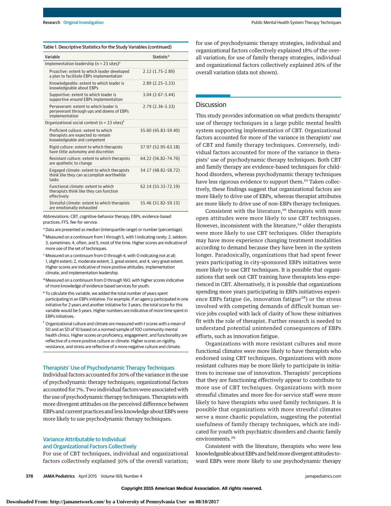| Table 1. Descriptive Statistics for the Study Variables (continued)                                     |                              |  |  |
|---------------------------------------------------------------------------------------------------------|------------------------------|--|--|
| Variable                                                                                                | <b>Statistic<sup>a</sup></b> |  |  |
| Implementation leadership (n = 23 sites) <sup>c</sup>                                                   |                              |  |  |
| Proactive: extent to which leader developed<br>a plan to facilitate EBPs implementation                 | $2.12(1.75-2.89)$            |  |  |
| Knowledgeable: extent to which leader is<br>knowledgeable about EBPs                                    | $2.89(2.25-3.33)$            |  |  |
| Supportive: extent to which leader is<br>supportive around EBPs implementation                          | $3.04(2.67-3.44)$            |  |  |
| Perseverant: extent to which leader is<br>perseverant through ups and downs of EBPs<br>implementation   | $2.79(2.36-3.33)$            |  |  |
| Organizational social context ( $n = 23$ sites) <sup>f</sup>                                            |                              |  |  |
| Proficient culture: extent to which<br>therapists are expected to remain<br>knowledgeable and competent | 55.60 (45.83-59.40)          |  |  |
| Rigid culture: extent to which therapists<br>have little autonomy and discretion                        | 57.97 (52.95-63.18)          |  |  |
| Resistant culture: extent to which therapists<br>are apathetic to change                                | 64.22 (56.82-74.70)          |  |  |
| Engaged climate: extent to which therapists<br>think like they can accomplish worthwhile<br>tasks       | 54.17 (48.82-58.72)          |  |  |
| Functional climate: extent to which<br>therapists think like they can function<br>effectively           | 62.14 (55.33-72.19)          |  |  |
| Stressful climate: extent to which therapists<br>are emotionally exhausted                              | 55.46 (51.82-59.15)          |  |  |

Abbreviations: CBT, cognitive-behavior therapy; EBPs, evidence-based practices; FFS, fee-for-service.

- <sup>a</sup> Data are presented as median (interquartile range) or number (percentage).
- <sup>b</sup> Measured on a continuum from 1 through 5, with 1 indicating rarely; 2, seldom; 3, sometimes; 4, often; and 5, most of the time. Higher scores are indicative of more use of the set of techniques.
- <sup>c</sup> Measured on a continuum from 0 through 4, with 0 indicating not at all; 1, slight extent; 2, moderate extent; 3, great extent; and 4, very great extent. Higher scores are indicative of more positive attitudes, implementation climate, and implementation leadership.
- <sup>d</sup> Measured on a continuum from 0 through 160, with higher scores indicative of more knowledge of evidence-based services for youth.
- <sup>e</sup> To calculate this variable, we added the total number of years spent participating in an EBPs initiative. For example, if an agency participated in one initiative for 2 years and another initiative for 3 years, the total score for this variable would be 5 years. Higher numbers are indicative of more time spent in EBPs initiatives.
- $f$  Organizational culture and climate are measured with  $t$  scores with a mean of 50 and an SD of 10 based on a normed sample of 100 community mental health clinics. Higher scores on proficiency, engagement, and functionality are reflective of a more positive culture or climate. Higher scores on rigidity, resistance, and stress are reflective of a more negative culture and climate.

## Therapists' Use of Psychodynamic Therapy Techniques

Individual factors accounted for 20% of the variance in the use of psychodynamic therapy techniques; organizational factors accounted for 7%. Two individual factors were associated with the use of psychodynamic therapy techniques. Therapists with more divergent attitudes on the perceived difference between EBPs and current practices and less knowledge about EBPswere more likely to use psychodynamic therapy techniques.

## Variance Attributable to Individual and Organizational Factors Collectively

For use of CBT techniques, individual and organizational factors collectively explained 30% of the overall variation; for use of psychodynamic therapy strategies, individual and organizational factors collectively explained 18% of the overall variation; for use of family therapy strategies, individual and organizational factors collectively explained 26% of the overall variation (data not shown).

## **Discussion**

This study provides information on what predicts therapists' use of therapy techniques in a large public mental health system supporting implementation of CBT. Organizational factors accounted for more of the variance in therapists' use of CBT and family therapy techniques. Conversely, individual factors accounted for more of the variance in therapists' use of psychodynamic therapy techniques. Both CBT and family therapy are evidence-based techniques for childhood disorders, whereas psychodynamic therapy techniques have less rigorous evidence to support them.<sup>10</sup> Taken collectively, these findings suggest that organizational factors are more likely to drive use of EBPs, whereas therapist attributes are more likely to drive use of non-EBPs therapy techniques.

Consistent with the literature, $16$  therapists with more open attitudes were more likely to use CBT techniques. However, inconsistent with the literature, $14$  older therapists were more likely to use CBT techniques. Older therapists may have more experience changing treatment modalities according to demand because they have been in the system longer. Paradoxically, organizations that had spent fewer years participating in city-sponsored EBPs initiatives were more likely to use CBT techniques. It is possible that organizations that seek out CBT training have therapists less experienced in CBT. Alternatively, it is possible that organizations spending more years participating in EBPs initiatives experience EBPs fatigue (ie, innovation fatigue<sup>28</sup>) or the stress involved with competing demands of difficult human service jobs coupled with lack of clarity of how these initiatives fit with the role of therapist. Further research is needed to understand potential unintended consequences of EBPs efforts, such as innovation fatigue.

Organizations with more resistant cultures and more functional climates were more likely to have therapists who endorsed using CBT techniques. Organizations with more resistant cultures may be more likely to participate in initiatives to increase use of innovation. Therapists' perceptions that they are functioning effectively appear to contribute to more use of CBT techniques. Organizations with more stressful climates and more fee-for-service staff were more likely to have therapists who used family techniques. It is possible that organizations with more stressful climates serve a more chaotic population, suggesting the potential usefulness of family therapy techniques, which are indicated for youth with psychiatric disorders and chaotic family environments.<sup>29</sup>

Consistent with the literature, therapists who were less knowledgeable about EBPs and held more divergent attitudes toward EBPs were more likely to use psychodynamic therapy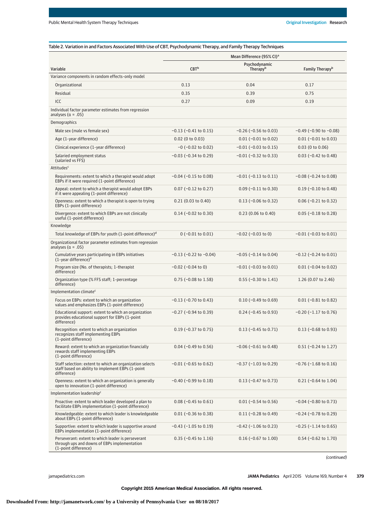## Table 2. Variation in and Factors Associated With Use of CBT, Psychodynamic Therapy, and Family Therapy Techniques

|                                                                                                                              | Mean Difference (95% CI) <sup>a</sup> |                                       |                                |
|------------------------------------------------------------------------------------------------------------------------------|---------------------------------------|---------------------------------------|--------------------------------|
| Variable                                                                                                                     | CBT <sup>b</sup>                      | Psychodynamic<br>Therapy <sup>b</sup> | Family Therapy <sup>b</sup>    |
| Variance components in random effects-only model                                                                             |                                       |                                       |                                |
| Organizational                                                                                                               | 0.13                                  | 0.04                                  | 0.17                           |
| Residual                                                                                                                     | 0.35                                  | 0.39                                  | 0.75                           |
| ICC                                                                                                                          | 0.27                                  | 0.09                                  | 0.19                           |
| Individual factor parameter estimates from regression<br>analyses ( $\alpha$ = .05)                                          |                                       |                                       |                                |
| Demographics                                                                                                                 |                                       |                                       |                                |
| Male sex (male vs female sex)                                                                                                | $-0.13$ ( $-0.41$ to $0.15$ )         | $-0.26$ ( $-0.56$ to 0.03)            | $-0.49$ ( $-0.90$ to $-0.08$ ) |
| Age (1-year difference)                                                                                                      | $0.02$ (0 to $0.03$ )                 | $0.01$ (-0.01 to 0.02)                | $0.01$ (-0.01 to 0.03)         |
| Clinical experience (1-year difference)                                                                                      | $-0$ ( $-0.02$ to 0.02)               | $-0.01$ ( $-0.03$ to 0.15)            | $0.03$ (0 to $0.06$ )          |
| Salaried employment status<br>(salaried vs FFS)                                                                              | $-0.03$ ( $-0.34$ to 0.29)            | $-0.01$ ( $-0.32$ to 0.33)            | $0.03$ (-0.42 to 0.48)         |
| <b>Attitudes<sup>c</sup></b>                                                                                                 |                                       |                                       |                                |
| Requirements: extent to which a therapist would adopt<br>EBPs if it were required (1-point difference)                       | $-0.04$ ( $-0.15$ to 0.08)            | $-0.01$ ( $-0.13$ to $0.11$ )         | $-0.08$ ( $-0.24$ to 0.08)     |
| Appeal: extent to which a therapist would adopt EBPs<br>if it were appealing (1-point difference)                            | $0.07$ (-0.12 to 0.27)                | $0.09$ (-0.11 to 0.30)                | $0.19$ (-0.10 to 0.48)         |
| Openness: extent to which a therapist is open to trying<br>EBPs (1-point difference)                                         | $0.21$ (0.03 to 0.40)                 | $0.13$ (-0.06 to 0.32)                | $0.06$ (-0.21 to 0.32)         |
| Divergence: extent to which EBPs are not clinically<br>useful (1-point difference)                                           | $0.14$ (-0.02 to 0.30)                | $0.23$ (0.06 to 0.40)                 | $0.05$ (-0.18 to 0.28)         |
| Knowledge                                                                                                                    |                                       |                                       |                                |
| Total knowledge of EBPs for youth (1-point difference) <sup>d</sup>                                                          | $0$ (-0.01 to 0.01)                   | $-0.02$ ( $-0.03$ to 0)               | $-0.01$ ( $-0.03$ to $0.01$ )  |
| Organizational factor parameter estimates from regression<br>analyses ( $\alpha$ = .05)                                      |                                       |                                       |                                |
| Cumulative years participating in EBPs initiatives<br>$(1$ -year difference) <sup>e</sup>                                    | $-0.13$ ( $-0.22$ to $-0.04$ )        | $-0.05$ ( $-0.14$ to 0.04)            | $-0.12$ ( $-0.24$ to $0.01$ )  |
| Program size (No. of therapists; 1-therapist<br>difference)                                                                  | $-0.02$ ( $-0.04$ to 0)               | $-0.01$ ( $-0.03$ to $0.01$ )         | $0.01$ (-0.04 to 0.02)         |
| Organization type (% FFS staff; 1-percentage<br>difference)                                                                  | $0.75$ (-0.08 to 1.58)                | $0.55$ (-0.30 to 1.41)                | 1.26 (0.07 to 2.46)            |
| Implementation climate <sup>c</sup>                                                                                          |                                       |                                       |                                |
| Focus on EBPs: extent to which an organization<br>values and emphasizes EBPs (1-point difference)                            | $-0.13$ ( $-0.70$ to 0.43)            | $0.10$ (-0.49 to 0.69)                | $0.01$ (-0.81 to 0.82)         |
| Educational support: extent to which an organization<br>provides educational support for EBPs (1-point<br>difference)        | $-0.27$ ( $-0.94$ to 0.39)            | $0.24$ (-0.45 to 0.93)                | $-0.20$ ( $-1.17$ to 0.76)     |
| Recognition: extent to which an organization<br>recognizes staff implementing EBPs<br>(1-point difference)                   | $0.19$ (-0.37 to 0.75)                | $0.13$ (-0.45 to 0.71)                | $0.13$ (-0.68 to 0.93)         |
| Reward: extent to which an organization financially<br>rewards staff implementing EBPs<br>(1-point difference)               | $0.04$ (-0.49 to 0.56)                | $-0.06$ ( $-0.61$ to 0.48)            | $0.51$ (-0.24 to 1.27)         |
| Staff selection: extent to which an organization selects<br>staff based on ability to implement EBPs (1-point<br>difference) | $-0.01$ ( $-0.65$ to 0.62)            | $-0.37$ ( $-1.03$ to 0.29)            | $-0.76$ ( $-1.68$ to 0.16)     |
| Openness: extent to which an organization is generally<br>open to innovation (1-point difference)                            | $-0.40$ ( $-0.99$ to $0.18$ )         | $0.13$ (-0.47 to 0.73)                | $0.21$ (-0.64 to 1.04)         |
| Implementation leadership <sup>c</sup>                                                                                       |                                       |                                       |                                |
| Proactive: extent to which leader developed a plan to<br>facilitate EBPs implementation (1-point difference)                 | $0.08$ (-0.45 to 0.61)                | $0.01$ (-0.54 to 0.56)                | $-0.04$ ( $-0.80$ to 0.73)     |
| Knowledgeable: extent to which leader is knowledgeable<br>about EBPs (1-point difference)                                    | $0.01$ (-0.36 to 0.38)                | $0.11$ (-0.28 to 0.49)                | $-0.24$ ( $-0.78$ to 0.29)     |
| Supportive: extent to which leader is supportive around<br>EBPs implementation (1-point difference)                          | $-0.43$ ( $-1.05$ to $0.19$ )         | $-0.42$ ( $-1.06$ to 0.23)            | $-0.25$ ( $-1.14$ to 0.65)     |
| Perseverant: extent to which leader is perseverant<br>through ups and downs of EBPs implementation<br>(1-point difference)   | $0.35$ (-0.45 to 1.16)                | $0.16$ (-0.67 to 1.00)                | $0.54$ (-0.62 to 1.70)         |

(continued)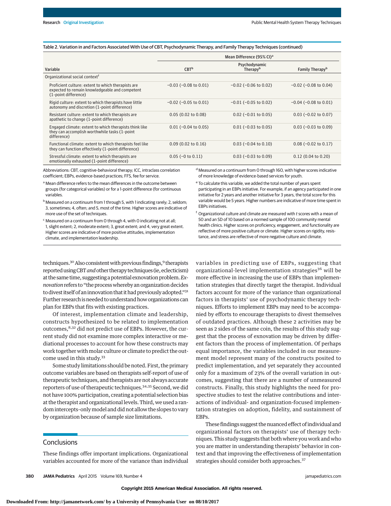| Table 2. Variation in and Factors Associated With Use of CBT, Psychodynamic Therapy, and Family Therapy Techniques (continued) |  |  |
|--------------------------------------------------------------------------------------------------------------------------------|--|--|
|                                                                                                                                |  |  |

|                                                                                                                              | Mean Difference (95% CI) <sup>a</sup> |                            |                               |
|------------------------------------------------------------------------------------------------------------------------------|---------------------------------------|----------------------------|-------------------------------|
| Variable                                                                                                                     | CBT <sup>b</sup>                      | Psychodynamic<br>Therapyb  | Family Therapy <sup>b</sup>   |
| Organizational social context <sup>f</sup>                                                                                   |                                       |                            |                               |
| Proficient culture: extent to which therapists are<br>expected to remain knowledgeable and competent<br>(1-point difference) | $-0.03$ ( $-0.08$ to 0.01)            | $-0.02$ ( $-0.06$ to 0.02) | $-0.02$ ( $-0.08$ to 0.04)    |
| Rigid culture: extent to which therapists have little<br>autonomy and discretion (1-point difference)                        | $-0.02$ ( $-0.05$ to 0.01)            | $-0.01$ ( $-0.05$ to 0.02) | $-0.04$ ( $-0.08$ to $0.01$ ) |
| Resistant culture: extent to which therapists are<br>apathetic to change (1-point difference)                                | $0.05$ (0.02 to 0.08)                 | $0.02$ (-0.01 to 0.05)     | $0.03$ (-0.02 to 0.07)        |
| Engaged climate: extent to which therapists think like<br>they can accomplish worthwhile tasks (1-point<br>difference)       | $0.01$ (-0.04 to 0.05)                | $0.01$ (-0.03 to 0.05)     | $0.03$ (-0.03 to 0.09)        |
| Functional climate: extent to which therapists feel like<br>they can function effectively (1-point difference)               | $0.09$ (0.02 to 0.16)                 | $0.03$ (-0.04 to 0.10)     | $0.08$ (-0.02 to 0.17)        |
| Stressful climate: extent to which therapists are<br>emotionally exhausted (1-point difference)                              | $0.05$ (-0 to $0.11$ )                | $0.03$ (-0.03 to 0.09)     | $0.12$ (0.04 to 0.20)         |

Abbreviations: CBT, cognitive-behavioral therapy; ICC, intraclass correlation coefficient; EBPs, evidence-based practices; FFS, fee for service.

<sup>d</sup> Measured on a continuum from 0 through 160, with higher scores indicative of more knowledge of evidence-based services for youth.

<sup>a</sup> Mean difference refers to the mean differences in the outcome between groups (for categorical variables) or for a 1-point difference (for continuous variables.

<sup>b</sup> Measured on a continuum from 1 through 5, with 1 indicating rarely; 2, seldom; 3, sometimes; 4, often; and 5, most of the time. Higher scores are indicative of more use of the set of techniques.

<sup>c</sup> Measured on a continuum from O through 4, with O indicating not at all; 1, slight extent; 2, moderate extent; 3, great extent; and 4, very great extent. Higher scores are indicative of more positive attitudes, implementation climate, and implementation leadership.

<sup>e</sup> To calculate this variable, we added the total number of years spent participating in an EBPs initiative. For example, if an agency participated in one initiative for 2 years and another initiative for 3 years, the total score for this variable would be 5 years. Higher numbers are indicative of more time spent in EBPs initiatives.

 $f$  Organizational culture and climate are measured with  $t$  scores with a mean of 50 and an SD of 10 based on a normed sample of 100 community mental health clinics. Higher scores on proficiency, engagement, and functionality are reflective of more positive culture or climate. Higher scores on rigidity, resistance, and stress are reflective of more negative culture and climate.

techniques.<sup>30</sup> Also consistent with previous findings, <sup>9</sup> therapists reported using CBT *and* other therapy techniques (ie, eclecticism) at the same time, suggesting a potential exnovation problem.*Exnovation*refers to "the processwhereby an organization decides to divest itself of an innovation that it had previously adopted."31 Further research is needed to understand how organizations can plan for EBPs that fits with existing practices.

Of interest, implementation climate and leadership, constructs hypothesized to be related to implementation outcomes,<sup>8,32</sup> did not predict use of EBPs. However, the current study did not examine more complex interactive or mediational processes to account for how these constructs may work together with molar culture or climate to predict the outcome used in this study.<sup>33</sup>

Some study limitations should be noted. First, the primary outcome variables are based on therapists self-report of use of therapeutic techniques, and therapists are not always accurate reporters of use of therapeutic techniques.34,35 Second, we did not have 100% participation, creating a potential selection bias at the therapist and organizational levels. Third, we used a random intercepts–onlymodel and did not allow the slopes to vary by organization because of sample size limitations.

#### **Conclusions**

These findings offer important implications. Organizational variables accounted for more of the variance than individual variables in predicting use of EBPs, suggesting that organizational-level implementation strategies<sup>36</sup> will be more effective in increasing the use of EBPs than implementation strategies that directly target the therapist. Individual factors account for more of the variance than organizational factors in therapists' use of psychodynamic therapy techniques. Efforts to implement EBPs may need to be accompanied by efforts to encourage therapists to divest themselves of outdated practices. Although these 2 activities may be seen as 2 sides of the same coin, the results of this study suggest that the process of exnovation may be driven by different factors than the process of implementation. Of perhaps equal importance, the variables included in our measurement model represent many of the constructs posited to predict implementation, and yet separately they accounted only for a maximum of 23% of the overall variation in outcomes, suggesting that there are a number of unmeasured constructs. Finally, this study highlights the need for prospective studies to test the relative contributions and interactions of individual- and organization-focused implementation strategies on adoption, fidelity, and sustainment of EBPs.

These findings suggest the nuanced effect of individual and organizational factors on therapists' use of therapy techniques. This study suggests that both where you work and who you are matter in understanding therapists' behavior in context and that improving the effectiveness of implementation strategies should consider both approaches.<sup>37</sup>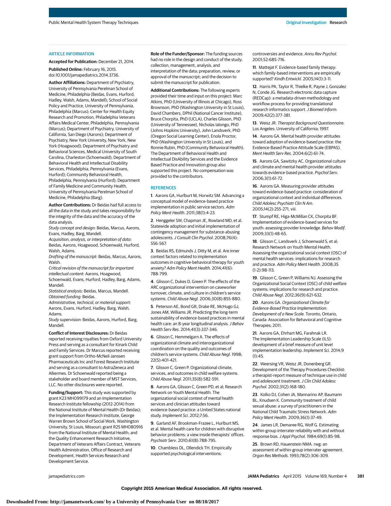#### ARTICLE INFORMATION

**Accepted for Publication:** December 21, 2014.

**Published Online:** February 16, 2015. doi:10.1001/jamapediatrics.2014.3736.

**Author Affiliations:** Department of Psychiatry, University of Pennsylvania Perelman School of Medicine, Philadelphia (Beidas, Evans, Hurford, Hadley, Walsh, Adams, Mandell); School of Social Policy and Practice, University of Pennsylvania, Philadelphia (Marcus); Center for Health Equity Research and Promotion, Philadelphia Veterans Affairs Medical Center, Philadelphia, Pennsylvania (Marcus); Department of Psychiatry, University of California, San Diego (Aarons); Department of Psychiatry, New York University, New York, New York (Hoagwood); Department of Psychiatry and Behavioral Sciences, Medical University of South Carolina, Charleston (Schoenwald); Department of Behavioral Health and Intellectual Disability Services, Philadelphia, Pennsylvania (Evans, Hurford); Community Behavioral Health, Philadelphia, Pennsylvania (Hurford); Department of Family Medicine and Community Health, University of Pennsylvania Perelman School of Medicine, Philadelphia (Barg).

**Author Contributions:** Dr Beidas had full access to all the data in the study and takes responsibility for the integrity of the data and the accuracy of the data analysis.

Study concept and design: Beidas, Marcus, Aarons, Evans, Hadley, Barg, Mandell.

Acquisition, analysis, or interpretation of data: Beidas, Aarons, Hoagwood, Schoenwald, Hurford, Walsh, Adams.

Drafting of the manuscript: Beidas, Marcus, Aarons, Walsh.

Critical revision of the manuscript for important intellectual content: Aarons, Hoagwood, Schoenwald, Evans, Hurford, Hadley, Barg, Adams, Mandell.

Statistical analysis: Beidas, Marcus, Mandell. Obtained funding: Beidas.

Administrative, technical, or material support: Aarons, Evans, Hurford, Hadley, Barg, Walsh, Adams.

Study supervision: Beidas, Aarons, Hurford, Barg, Mandell.

**Conflict of Interest Disclosures:** Dr Beidas reported receiving royalties from Oxford University Press and serving as a consultant for Kinark Child and Family Services. Dr Marcus reported receiving grant support from Ortho-McNeil-Janssen Pharmaceuticals Inc and Forest Research Institute and serving as a consultant to AstraZeneca and Alkermes. Dr Schoenwald reported being a stakeholder and board member of MST Services, LLC. No other disclosures were reported.

**Funding/Support:** This study was supported by grant K23 MH099179 and an Implementation Research Institute fellowship (2012-2014) from the National Institute of Mental Health (Dr Beidas); the Implementation Research Institute, George Warren Brown School of Social Work, Washington University, St Louis, Missouri; grant R25 MH080916 from the National Institute of Mental Health; and the Quality Enhancement Research Initiative, Department of Veterans Affairs Contract, Veterans Health Administration, Office of Research and Development, Health Services Research and Development Service.

**Role of the Funder/Sponsor:** The funding sources had no role in the design and conduct of the study; collection, management, analysis, and interpretation of the data; preparation, review, or approval of the manuscript; and the decision to submit the manuscript for publication.

**Additional Contributions:** The following experts provided their time and input on this project: Marc Atkins, PhD (University of Illinois at Chicago), Ross Brownson, PhD (Washington University in St Louis), David Chambers, DPhil (National Cancer Institute), Bruce Chorpita, PhD (UCLA), Charles Glisson, PhD (University of Tennessee), Nicholas Ialongo, PhD (Johns Hopkins University), John Landsverk, PhD (Oregon Social Learning Center), Enola Proctor, PhD (Washington University in St Louis), and Ronnie Rubin, PhD (Community Behavioral Health). The Department of Behavioral Health and Intellectual DisAbility Services and the Evidence Based Practice and Innovation group also supported this project. No compensation was provided to the contributors.

#### **REFERENCES**

**1**. Aarons GA, Hurlburt M, Horwitz SM. Advancing a conceptual model of evidence-based practice implementation in public service sectors. Adm Policy Ment Health. 2011;38(1):4-23.

**2**. Henggeler SW, Chapman JE, Rowland MD, et al. Statewide adoption and initial implementation of contingency management for substance-abusing adolescents. J Consult Clin Psychol. 2008;76(4): 556-567.

**3**. Beidas RS, Edmunds J, Ditty M, et al. Are inner context factors related to implementation outcomes in cognitive-behavioral therapy for youth anxiety? Adm Policy Ment Health. 2014;41(6): 788-799.

**4**. Glisson C, Dukes D, Green P. The effects of the ARC organizational intervention on caseworker turnover, climate, and culture in children's service systems. Child Abuse Negl. 2006;30(8):855-880.

**5**. Peterson AE, Bond GR, Drake RE, McHugo GJ, Jones AM, Williams JR. Predicting the long-term sustainability of evidence-based practices in mental health care: an 8-year longitudinal analysis. J Behav Health Serv Res. 2014;41(3):337-346.

**6**. Glisson C, Hemmelgarn A. The effects of organizational climate and interorganizational coordination on the quality and outcomes of children's service systems. Child Abuse Negl. 1998; 22(5):401-421.

**7**. Glisson C, Green P. Organizational climate, services, and outcomes in child welfare systems. Child Abuse Negl. 2011;35(8):582-591.

**8**. Aarons GA, Glisson C, Green PD, et al; Research Network on Youth Mental Health. The organizational social context of mental health services and clinician attitudes toward evidence-based practice: a United States national study. Implement Sci. 2012;7:56.

**9**. Garland AF, Brookman-Frazee L, Hurlburt MS, et al. Mental health care for children with disruptive behavior problems: a view inside therapists' offices. Psychiatr Serv. 2010;61(8):788-795.

**10**. Chambless DL, Ollendick TH. Empirically supported psychological interventions:

controversies and evidence. Annu Rev Psychol. 2001;52:685-716.

**11**. Mattejat F. Evidence-based family therapy: which family-based interventions are empirically supported? Kindh Entwickl. 2005;14(1):3-11.

**12**. Harris PA, Taylor R, Thielke R, Payne J, Gonzalez N, Conde JG. Research electronic data capture (REDCap): a metadata-driven methodology and workflow process for providing translational research informatics support. J Biomed Inform. 2009;42(2):377-381.

**13**. Weisz JR. Therapist Background Questionnaire. Los Angeles: University of California; 1997.

**14**. Aarons GA. Mental health provider attitudes toward adoption of evidence-based practice: the Evidence-Based Practice Attitude Scale (EBPAS). Ment Health Serv Res. 2004;6(2):61-74.

**15**. Aarons GA, Sawitzky AC. Organizational culture and climate and mental health provider attitudes towards evidence-based practice. Psychol Serv. 2006;3(1):61-72.

**16**. Aarons GA. Measuring provider attitudes toward evidence-based practice: consideration of organizational context and individual differences. Child Adolesc Psychiatr Clin N Am. 2005;14(2):255-271, viii.

**17**. Stumpf RE, Higa-McMillan CK, Chorpita BF. Implementation of evidence-based services for youth: assessing provider knowledge. Behav Modif. 2009;33(1):48-65.

**18**. Glisson C, Landsverk J, Schoenwald S, et al; Research Network on Youth Mental Health. Assessing the organizational social context (OSC) of mental health services: implications for research and practice. Adm Policy Ment Health. 2008;35 (1-2):98-113.

**19**. Glisson C, Green P, Williams NJ. Assessing the Organizational Social Context (OSC) of child welfare systems: implications for research and practice. Child Abuse Negl. 2012;36(9):621-632.

**20**. Aarons GA. Organizational Climate for Evidence-Based Practice Implementation: Development of a New Scale. Toronto, Ontario, Canada: Association for Behavioral and Cognitive Therapies; 2011.

**21**. Aarons GA, Ehrhart MG, Farahnak LR. The Implementation Leadership Scale (ILS): development of a brief measure of unit level implementation leadership. Implement Sci. 2014;9 (1):45.

**22**. Weersing VR, Weisz JR, Donenberg GR. Development of the Therapy Procedures Checklist: a therapist-report measure of technique use in child and adolescent treatment. J Clin Child Adolesc Psychol. 2002;31(2):168-180.

**23**. Kolko DJ, Cohen JA, Mannarino AP, Baumann BL, Knudsen K. Community treatment of child sexual abuse: a survey of practitioners in the National Child Traumatic Stress Network. Adm Policy Ment Health. 2009;36(1):37-49.

**24**. James LR, Demaree RG, Wolf G. Estimating within-group interrater reliability with and without response bias. J Appl Psychol. 1984;69(1):85-98.

**25**. Brown RD, Hauenstein NMA. rwg: an assessment of within-group interrater agreement. Organ Res Methods. 1993;78(2):306-309.